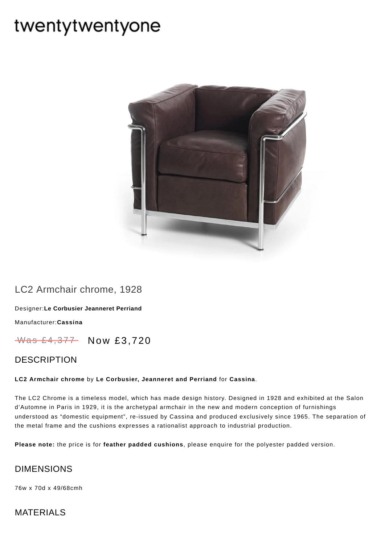# twentytwentyone



# LC2 Armchair chrome, 1928

Designer:**Le Corbusier [Jeanneret](https://www.twentytwentyone.com/collections/designers-le-corbusier-jeanneret-perriand) Perriand**

[Manufacturer:](https://www.twentytwentyone.com/collections/manufacturers-cassina)**Cassina**

Was £4,377 Now £3,720

## DESCRIPTION

#### **LC2 Armchair chrome** by **Le [Corbusier,](http://twentytwentyone.com/designer/le-corbusier-jeanneret-perriand) Jeanneret and Perriand** for **[Cassina](https://twenty-twenty-one.myshopify.com/collections/manufacturers-cassina)**.

The LC2 Chrome is a timeless model, which has made design history. Designed in 1928 and exhibited at the Salon d'Automne in Paris in 1929, it is the archetypal armchair in the new and modern conception of furnishings understood as "domestic equipment", re-issued by Cassina and produced exclusively since 1965. The separation of the metal frame and the cushions expresses a rationalist approach to industrial production.

**Please note:** the price is for **feather padded cushions**, please enquire for the polyester padded version.

#### DIMENSIONS

76w x 70d x 49/68cmh

## MATERIALS